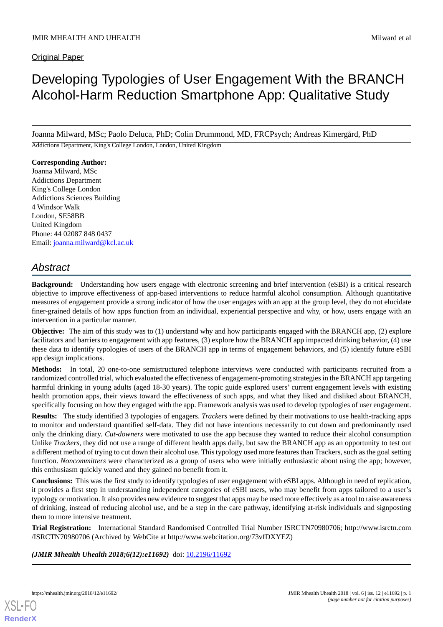# Developing Typologies of User Engagement With the BRANCH Alcohol-Harm Reduction Smartphone App: Qualitative Study

Joanna Milward, MSc; Paolo Deluca, PhD; Colin Drummond, MD, FRCPsych; Andreas Kimergård, PhD

Addictions Department, King's College London, London, United Kingdom

**Corresponding Author:** Joanna Milward, MSc Addictions Department King's College London Addictions Sciences Building 4 Windsor Walk London, SE58BB United Kingdom Phone: 44 02087 848 0437 Email: [joanna.milward@kcl.ac.uk](mailto:joanna.milward@kcl.ac.uk)

# *Abstract*

**Background:** Understanding how users engage with electronic screening and brief intervention (eSBI) is a critical research objective to improve effectiveness of app-based interventions to reduce harmful alcohol consumption. Although quantitative measures of engagement provide a strong indicator of how the user engages with an app at the group level, they do not elucidate finer-grained details of how apps function from an individual, experiential perspective and why, or how, users engage with an intervention in a particular manner.

**Objective:** The aim of this study was to (1) understand why and how participants engaged with the BRANCH app, (2) explore facilitators and barriers to engagement with app features, (3) explore how the BRANCH app impacted drinking behavior, (4) use these data to identify typologies of users of the BRANCH app in terms of engagement behaviors, and (5) identify future eSBI app design implications.

**Methods:** In total, 20 one-to-one semistructured telephone interviews were conducted with participants recruited from a randomized controlled trial, which evaluated the effectiveness of engagement-promoting strategies in the BRANCH app targeting harmful drinking in young adults (aged 18-30 years). The topic guide explored users' current engagement levels with existing health promotion apps, their views toward the effectiveness of such apps, and what they liked and disliked about BRANCH, specifically focusing on how they engaged with the app. Framework analysis was used to develop typologies of user engagement.

**Results:** The study identified 3 typologies of engagers. *Trackers* were defined by their motivations to use health-tracking apps to monitor and understand quantified self-data. They did not have intentions necessarily to cut down and predominantly used only the drinking diary. *Cut-downers* were motivated to use the app because they wanted to reduce their alcohol consumption Unlike *Trackers*, they did not use a range of different health apps daily, but saw the BRANCH app as an opportunity to test out a different method of trying to cut down their alcohol use. This typology used more features than Trackers, such as the goal setting function. *Noncommitters* were characterized as a group of users who were initially enthusiastic about using the app; however, this enthusiasm quickly waned and they gained no benefit from it.

**Conclusions:** This was the first study to identify typologies of user engagement with eSBI apps. Although in need of replication, it provides a first step in understanding independent categories of eSBI users, who may benefit from apps tailored to a user's typology or motivation. It also provides new evidence to suggest that apps may be used more effectively as a tool to raise awareness of drinking, instead of reducing alcohol use, and be a step in the care pathway, identifying at-risk individuals and signposting them to more intensive treatment.

**Trial Registration:** International Standard Randomised Controlled Trial Number ISRCTN70980706; http://www.isrctn.com /ISRCTN70980706 (Archived by WebCite at http://www.webcitation.org/73vfDXYEZ)

*(JMIR Mhealth Uhealth 2018;6(12):e11692)* doi:  $10.2196/11692$ 

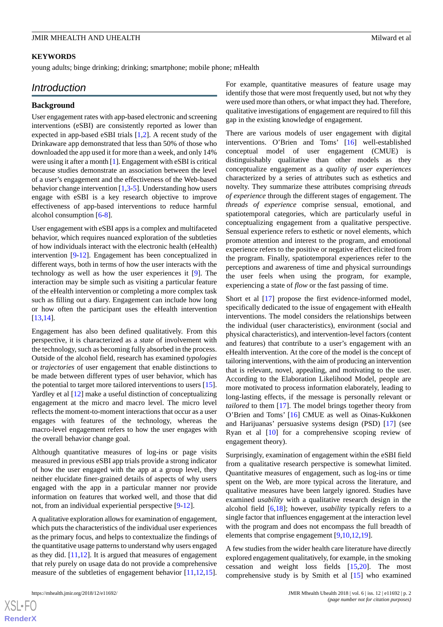#### **KEYWORDS**

young adults; binge drinking; drinking; smartphone; mobile phone; mHealth

# *Introduction*

#### **Background**

User engagement rates with app-based electronic and screening interventions (eSBI) are consistently reported as lower than expected in app-based eSBI trials [\[1,](#page-11-0)[2\]](#page-11-1). A recent study of the Drinkaware app demonstrated that less than 50% of those who downloaded the app used it for more than a week, and only 14% were using it after a month [\[1\]](#page-11-0). Engagement with eSBI is critical because studies demonstrate an association between the level of a user's engagement and the effectiveness of the Web-based behavior change intervention [[1](#page-11-0)[,3](#page-11-2)-[5\]](#page-11-3). Understanding how users engage with eSBI is a key research objective to improve effectiveness of app-based interventions to reduce harmful alcohol consumption [[6](#page-11-4)[-8](#page-11-5)].

User engagement with eSBI apps is a complex and multifaceted behavior, which requires nuanced exploration of the subtleties of how individuals interact with the electronic health (eHealth) intervention [[9](#page-11-6)[-12](#page-11-7)]. Engagement has been conceptualized in different ways, both in terms of how the user interacts with the technology as well as how the user experiences it [[9\]](#page-11-6). The interaction may be simple such as visiting a particular feature of the eHealth intervention or completing a more complex task such as filling out a diary. Engagement can include how long or how often the participant uses the eHealth intervention [[13](#page-11-8)[,14](#page-11-9)].

Engagement has also been defined qualitatively. From this perspective, it is characterized as a *state* of involvement with the technology, such as becoming fully absorbed in the process. Outside of the alcohol field, research has examined *typologies* or *trajectories* of user engagement that enable distinctions to be made between different types of user behavior, which has the potential to target more tailored interventions to users [[15\]](#page-11-10). Yardley et al  $[12]$  $[12]$  make a useful distinction of conceptualizing engagement at the micro and macro level. The micro level reflects the moment-to-moment interactions that occur as a user engages with features of the technology, whereas the macro-level engagement refers to how the user engages with the overall behavior change goal.

Although quantitative measures of log-ins or page visits measured in previous eSBI app trials provide a strong indicator of how the user engaged with the app at a group level, they neither elucidate finer-grained details of aspects of why users engaged with the app in a particular manner nor provide information on features that worked well, and those that did not, from an individual experiential perspective [[9](#page-11-6)-[12\]](#page-11-7).

A qualitative exploration allows for examination of engagement, which puts the characteristics of the individual user experiences as the primary focus, and helps to contextualize the findings of the quantitative usage patterns to understand why users engaged as they did.  $[11,12]$  $[11,12]$  $[11,12]$ . It is argued that measures of engagement that rely purely on usage data do not provide a comprehensive measure of the subtleties of engagement behavior [[11](#page-11-11)[,12](#page-11-7),[15\]](#page-11-10).

For example, quantitative measures of feature usage may identify those that were most frequently used, but not why they were used more than others, or what impact they had. Therefore, qualitative investigations of engagement are required to fill this gap in the existing knowledge of engagement.

There are various models of user engagement with digital interventions. O'Brien and Toms' [\[16](#page-11-12)] well-established conceptual model of user engagement (CMUE) is distinguishably qualitative than other models as they conceptualize engagement as a *quality of user experiences* characterized by a series of attributes such as esthetics and novelty. They summarize these attributes comprising *threads of experience* through the different stages of engagement. The *threads of experience* comprise sensual, emotional, and spatiotemporal categories, which are particularly useful in conceptualizing engagement from a qualitative perspective. Sensual experience refers to esthetic or novel elements, which promote attention and interest to the program, and emotional experience refers to the positive or negative affect elicited from the program. Finally, spatiotemporal experiences refer to the perceptions and awareness of time and physical surroundings the user feels when using the program, for example, experiencing a state of *flow* or the fast passing of time.

Short et al [[17\]](#page-11-13) propose the first evidence-informed model, specifically dedicated to the issue of engagement with eHealth interventions. The model considers the relationships between the individual (user characteristics), environment (social and physical characteristics), and intervention-level factors (content and features) that contribute to a user's engagement with an eHealth intervention. At the core of the model is the concept of tailoring interventions, with the aim of producing an intervention that is relevant, novel, appealing, and motivating to the user. According to the Elaboration Likelihood Model, people are more motivated to process information elaborately, leading to long-lasting effects, if the message is personally relevant or *tailored* to them [\[17](#page-11-13)]. The model brings together theory from O'Brien and Toms' [[16\]](#page-11-12) CMUE as well as Oinas-Kukkonen and Harijuanas' persuasive systems design (PSD) [[17\]](#page-11-13) (see Ryan et al [[10\]](#page-11-14) for a comprehensive scoping review of engagement theory).

Surprisingly, examination of engagement within the eSBI field from a qualitative research perspective is somewhat limited. Quantitative measures of engagement, such as log-ins or time spent on the Web, are more typical across the literature, and qualitative measures have been largely ignored. Studies have examined *usability* with a qualitative research design in the alcohol field [\[6](#page-11-4),[18\]](#page-12-0); however, *usability* typically refers to a single factor that influences engagement at the interaction level with the program and does not encompass the full breadth of elements that comprise engagement [\[9](#page-11-6),[10](#page-11-14)[,12](#page-11-7),[19\]](#page-12-1).

A few studies from the wider health care literature have directly explored engagement qualitatively, for example, in the smoking cessation and weight loss fields [\[15](#page-11-10),[20\]](#page-12-2). The most comprehensive study is by Smith et al [[15\]](#page-11-10) who examined

 $XS$  $\cdot$ FC **[RenderX](http://www.renderx.com/)**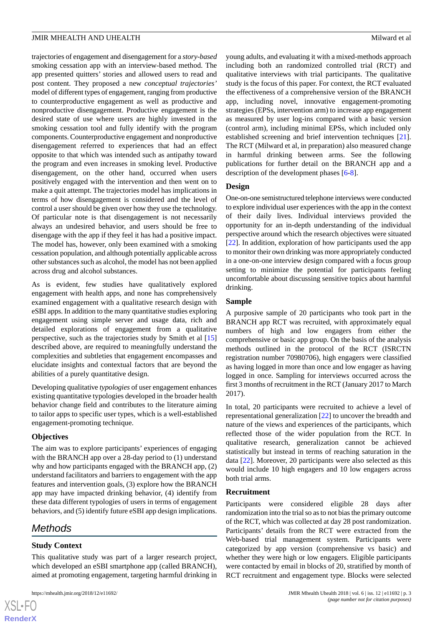trajectories of engagement and disengagement for a *story-based* smoking cessation app with an interview-based method. The app presented quitters' stories and allowed users to read and post content. They proposed a new *conceptual trajectories'* model of different types of engagement, ranging from productive to counterproductive engagement as well as productive and nonproductive disengagement. Productive engagement is the desired state of use where users are highly invested in the smoking cessation tool and fully identify with the program components. Counterproductive engagement and nonproductive disengagement referred to experiences that had an effect opposite to that which was intended such as antipathy toward the program and even increases in smoking level. Productive disengagement, on the other hand, occurred when users positively engaged with the intervention and then went on to make a quit attempt. The trajectories model has implications in terms of how disengagement is considered and the level of control a user should be given over how they use the technology. Of particular note is that disengagement is not necessarily always an undesired behavior, and users should be free to disengage with the app if they feel it has had a positive impact. The model has, however, only been examined with a smoking cessation population, and although potentially applicable across other substances such as alcohol, the model has not been applied across drug and alcohol substances.

As is evident, few studies have qualitatively explored engagement with health apps, and none has comprehensively examined engagement with a qualitative research design with eSBI apps. In addition to the many quantitative studies exploring engagement using simple server and usage data, rich and detailed explorations of engagement from a qualitative perspective, such as the trajectories study by Smith et al [\[15](#page-11-10)] described above, are required to meaningfully understand the complexities and subtleties that engagement encompasses and elucidate insights and contextual factors that are beyond the abilities of a purely quantitative design.

Developing qualitative *typologies* of user engagement enhances existing quantitative typologies developed in the broader health behavior change field and contributes to the literature aiming to tailor apps to specific user types, which is a well-established engagement-promoting technique.

#### **Objectives**

The aim was to explore participants' experiences of engaging with the BRANCH app over a 28-day period to (1) understand why and how participants engaged with the BRANCH app, (2) understand facilitators and barriers to engagement with the app features and intervention goals, (3) explore how the BRANCH app may have impacted drinking behavior, (4) identify from these data different typologies of users in terms of engagement behaviors, and (5) identify future eSBI app design implications.

# *Methods*

# **Study Context**

This qualitative study was part of a larger research project, which developed an eSBI smartphone app (called BRANCH), aimed at promoting engagement, targeting harmful drinking in

young adults, and evaluating it with a mixed-methods approach including both an randomized controlled trial (RCT) and qualitative interviews with trial participants. The qualitative study is the focus of this paper. For context, the RCT evaluated the effectiveness of a comprehensive version of the BRANCH app, including novel, innovative engagement-promoting strategies (EPSs, intervention arm) to increase app engagement as measured by user log-ins compared with a basic version (control arm), including minimal EPSs, which included only established screening and brief intervention techniques [[21\]](#page-12-3). The RCT (Milward et al, in preparation) also measured change in harmful drinking between arms. See the following publications for further detail on the BRANCH app and a description of the development phases [\[6](#page-11-4)-[8\]](#page-11-5).

# **Design**

One-on-one semistructured telephone interviews were conducted to explore individual user experiences with the app in the context of their daily lives. Individual interviews provided the opportunity for an in-depth understanding of the individual perspective around which the research objectives were situated [[22\]](#page-12-4). In addition, exploration of how participants used the app to monitor their own drinking was more appropriately conducted in a one-on-one interview design compared with a focus group setting to minimize the potential for participants feeling uncomfortable about discussing sensitive topics about harmful drinking.

# **Sample**

A purposive sample of 20 participants who took part in the BRANCH app RCT was recruited, with approximately equal numbers of high and low engagers from either the comprehensive or basic app group. On the basis of the analysis methods outlined in the protocol of the RCT (ISRCTN registration number 70980706), high engagers were classified as having logged in more than once and low engager as having logged in once. Sampling for interviews occurred across the first 3 months of recruitment in the RCT (January 2017 to March 2017).

In total, 20 participants were recruited to achieve a level of representational generalization [[22\]](#page-12-4) to uncover the breadth and nature of the views and experiences of the participants, which reflected those of the wider population from the RCT. In qualitative research, generalization cannot be achieved statistically but instead in terms of reaching saturation in the data [\[22](#page-12-4)]. Moreover, 20 participants were also selected as this would include 10 high engagers and 10 low engagers across both trial arms.

#### **Recruitment**

Participants were considered eligible 28 days after randomization into the trial so as to not bias the primary outcome of the RCT, which was collected at day 28 post randomization. Participants' details from the RCT were extracted from the Web-based trial management system. Participants were categorized by app version (comprehensive vs basic) and whether they were high or low engagers. Eligible participants were contacted by email in blocks of 20, stratified by month of RCT recruitment and engagement type. Blocks were selected

```
XS\cdotFC
RenderX
```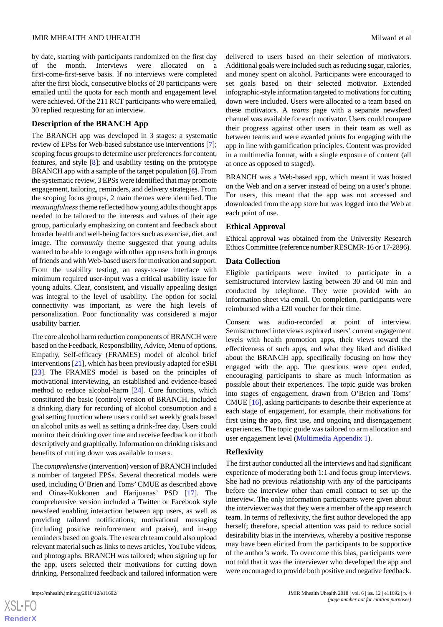by date, starting with participants randomized on the first day of the month. Interviews were allocated on a first-come-first-serve basis. If no interviews were completed after the first block, consecutive blocks of 20 participants were emailed until the quota for each month and engagement level were achieved. Of the 211 RCT participants who were emailed, 30 replied requesting for an interview.

#### **Description of the BRANCH App**

The BRANCH app was developed in 3 stages: a systematic review of EPSs for Web-based substance use interventions [\[7\]](#page-11-15); scoping focus groups to determine user preferences for content, features, and style [[8\]](#page-11-5); and usability testing on the prototype BRANCH app with a sample of the target population [\[6](#page-11-4)]. From the systematic review, 3 EPSs were identified that may promote engagement, tailoring, reminders, and delivery strategies. From the scoping focus groups, 2 main themes were identified. The *meaningfulness*theme reflected how young adults thought apps needed to be tailored to the interests and values of their age group, particularly emphasizing on content and feedback about broader health and well-being factors such as exercise, diet, and image. The *community* theme suggested that young adults wanted to be able to engage with other app users both in groups of friends and with Web-based users for motivation and support. From the usability testing, an easy-to-use interface with minimum required user-input was a critical usability issue for young adults. Clear, consistent, and visually appealing design was integral to the level of usability. The option for social connectivity was important, as were the high levels of personalization. Poor functionality was considered a major usability barrier.

The core alcohol harm reduction components of BRANCH were based on the Feedback, Responsibility, Advice, Menu of options, Empathy, Self-efficacy (FRAMES) model of alcohol brief interventions [[21\]](#page-12-3), which has been previously adapted for eSBI [[23\]](#page-12-5). The FRAMES model is based on the principles of motivational interviewing, an established and evidence-based method to reduce alcohol-harm [[24\]](#page-12-6). Core functions, which constituted the basic (control) version of BRANCH, included a drinking diary for recording of alcohol consumption and a goal setting function where users could set weekly goals based on alcohol units as well as setting a drink-free day. Users could monitor their drinking over time and receive feedback on it both descriptively and graphically. Information on drinking risks and benefits of cutting down was available to users.

The *comprehensive* (intervention) version of BRANCH included a number of targeted EPSs. Several theoretical models were used, including O'Brien and Toms' CMUE as described above and Oinas-Kukkonen and Harijuanas' PSD [\[17](#page-11-13)]. The comprehensive version included a Twitter or Facebook style newsfeed enabling interaction between app users, as well as providing tailored notifications, motivational messaging (including positive reinforcement and praise), and in-app reminders based on goals. The research team could also upload relevant material such as links to news articles, YouTube videos, and photographs. BRANCH was tailored; when signing up for the app, users selected their motivations for cutting down drinking. Personalized feedback and tailored information were

delivered to users based on their selection of motivators. Additional goals were included such as reducing sugar, calories, and money spent on alcohol. Participants were encouraged to set goals based on their selected motivator. Extended infographic-style information targeted to motivations for cutting down were included. Users were allocated to a team based on these motivators. A *teams* page with a separate newsfeed channel was available for each motivator. Users could compare their progress against other users in their team as well as between teams and were awarded points for engaging with the app in line with gamification principles. Content was provided in a multimedia format, with a single exposure of content (all at once as opposed to staged).

BRANCH was a Web-based app, which meant it was hosted on the Web and on a server instead of being on a user's phone. For users, this meant that the app was not accessed and downloaded from the app store but was logged into the Web at each point of use.

#### **Ethical Approval**

Ethical approval was obtained from the University Research Ethics Committee (reference number RESCMR-16 or 17-2896).

#### **Data Collection**

Eligible participants were invited to participate in a semistructured interview lasting between 30 and 60 min and conducted by telephone. They were provided with an information sheet via email. On completion, participants were reimbursed with a £20 voucher for their time.

Consent was audio-recorded at point of interview. Semistructured interviews explored users' current engagement levels with health promotion apps, their views toward the effectiveness of such apps, and what they liked and disliked about the BRANCH app, specifically focusing on how they engaged with the app. The questions were open ended, encouraging participants to share as much information as possible about their experiences. The topic guide was broken into stages of engagement, drawn from O'Brien and Toms' CMUE [\[16](#page-11-12)], asking participants to describe their experience at each stage of engagement, for example, their motivations for first using the app, first use, and ongoing and disengagement experiences. The topic guide was tailored to arm allocation and user engagement level [\(Multimedia Appendix 1](#page-10-0)).

#### **Reflexivity**

The first author conducted all the interviews and had significant experience of moderating both 1:1 and focus group interviews. She had no previous relationship with any of the participants before the interview other than email contact to set up the interview. The only information participants were given about the interviewer was that they were a member of the app research team. In terms of reflexivity, the first author developed the app herself; therefore, special attention was paid to reduce social desirability bias in the interviews, whereby a positive response may have been elicited from the participants to be supportive of the author's work. To overcome this bias, participants were not told that it was the interviewer who developed the app and were encouraged to provide both positive and negative feedback.

```
XS\cdotFC
RenderX
```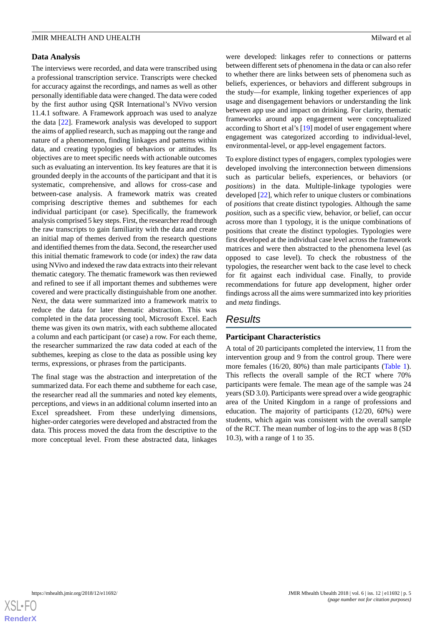### **Data Analysis**

The interviews were recorded, and data were transcribed using a professional transcription service. Transcripts were checked for accuracy against the recordings, and names as well as other personally identifiable data were changed. The data were coded by the first author using QSR International's NVivo version 11.4.1 software. A Framework approach was used to analyze the data [\[22](#page-12-4)]. Framework analysis was developed to support the aims of applied research, such as mapping out the range and nature of a phenomenon, finding linkages and patterns within data, and creating typologies of behaviors or attitudes. Its objectives are to meet specific needs with actionable outcomes such as evaluating an intervention. Its key features are that it is grounded deeply in the accounts of the participant and that it is systematic, comprehensive, and allows for cross-case and between-case analysis. A framework matrix was created comprising descriptive themes and subthemes for each individual participant (or case). Specifically, the framework analysis comprised 5 key steps. First, the researcher read through the raw transcripts to gain familiarity with the data and create an initial map of themes derived from the research questions and identified themes from the data. Second, the researcher used this initial thematic framework to code (or index) the raw data using NVivo and indexed the raw data extracts into their relevant thematic category. The thematic framework was then reviewed and refined to see if all important themes and subthemes were covered and were practically distinguishable from one another. Next, the data were summarized into a framework matrix to reduce the data for later thematic abstraction. This was completed in the data processing tool, Microsoft Excel. Each theme was given its own matrix, with each subtheme allocated a column and each participant (or case) a row. For each theme, the researcher summarized the raw data coded at each of the subthemes, keeping as close to the data as possible using key terms, expressions, or phrases from the participants.

The final stage was the abstraction and interpretation of the summarized data. For each theme and subtheme for each case, the researcher read all the summaries and noted key elements, perceptions, and views in an additional column inserted into an Excel spreadsheet. From these underlying dimensions, higher-order categories were developed and abstracted from the data. This process moved the data from the descriptive to the more conceptual level. From these abstracted data, linkages

were developed: linkages refer to connections or patterns between different sets of phenomena in the data or can also refer to whether there are links between sets of phenomena such as beliefs, experiences, or behaviors and different subgroups in the study—for example, linking together experiences of app usage and disengagement behaviors or understanding the link between app use and impact on drinking. For clarity, thematic frameworks around app engagement were conceptualized according to Short et al's [[19\]](#page-12-1) model of user engagement where engagement was categorized according to individual-level, environmental-level, or app-level engagement factors.

To explore distinct types of engagers, complex typologies were developed involving the interconnection between dimensions such as particular beliefs, experiences, or behaviors (or *positions*) in the data. Multiple-linkage typologies were developed [[22\]](#page-12-4), which refer to unique clusters or combinations of *positions* that create distinct typologies. Although the same *position*, such as a specific view, behavior, or belief, can occur across more than 1 typology, it is the unique combinations of positions that create the distinct typologies. Typologies were first developed at the individual case level across the framework matrices and were then abstracted to the phenomena level (as opposed to case level). To check the robustness of the typologies, the researcher went back to the case level to check for fit against each individual case. Finally, to provide recommendations for future app development, higher order findings across all the aims were summarized into key priorities and *meta* findings.

# *Results*

# **Participant Characteristics**

A total of 20 participants completed the interview, 11 from the intervention group and 9 from the control group. There were more females (16/20, 80%) than male participants [\(Table 1\)](#page-5-0). This reflects the overall sample of the RCT where 70% participants were female. The mean age of the sample was 24 years (SD 3.0). Participants were spread over a wide geographic area of the United Kingdom in a range of professions and education. The majority of participants (12/20, 60%) were students, which again was consistent with the overall sample of the RCT. The mean number of log-ins to the app was 8 (SD 10.3), with a range of 1 to 35.

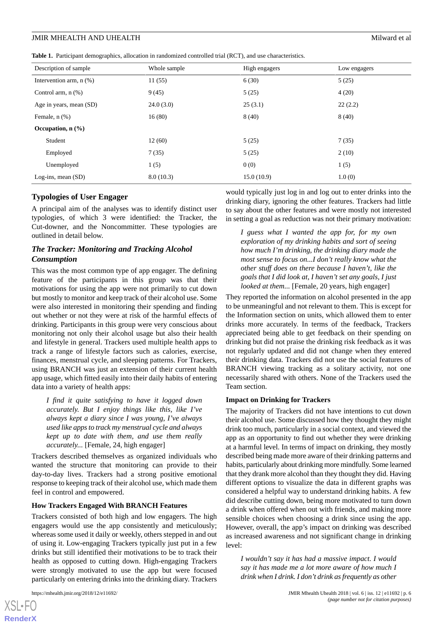<span id="page-5-0"></span>**Table 1.** Participant demographics, allocation in randomized controlled trial (RCT), and use characteristics.

| Description of sample        | Whole sample | High engagers | Low engagers |
|------------------------------|--------------|---------------|--------------|
| Intervention arm, $n$ $(\%)$ | 11(55)       | 6(30)         | 5(25)        |
| Control arm, $n$ $(\%)$      | 9(45)        | 5(25)         | 4(20)        |
| Age in years, mean (SD)      | 24.0(3.0)    | 25(3.1)       | 22(2.2)      |
| Female, $n$ $(\%)$           | 16(80)       | 8(40)         | 8(40)        |
| Occupation, $n$ $(\%)$       |              |               |              |
| Student                      | 12(60)       | 5(25)         | 7(35)        |
| Employed                     | 7(35)        | 5(25)         | 2(10)        |
| Unemployed                   | 1(5)         | 0(0)          | 1(5)         |
| Log-ins, mean $(SD)$         | 8.0(10.3)    | 15.0(10.9)    | 1.0(0)       |

#### **Typologies of User Engager**

A principal aim of the analyses was to identify distinct user typologies, of which 3 were identified: the Tracker, the Cut-downer, and the Noncommitter. These typologies are outlined in detail below.

# *The Tracker: Monitoring and Tracking Alcohol Consumption*

This was the most common type of app engager. The defining feature of the participants in this group was that their motivations for using the app were not primarily to cut down but mostly to monitor and keep track of their alcohol use. Some were also interested in monitoring their spending and finding out whether or not they were at risk of the harmful effects of drinking. Participants in this group were very conscious about monitoring not only their alcohol usage but also their health and lifestyle in general. Trackers used multiple health apps to track a range of lifestyle factors such as calories, exercise, finances, menstrual cycle, and sleeping patterns. For Trackers, using BRANCH was just an extension of their current health app usage, which fitted easily into their daily habits of entering data into a variety of health apps:

*I find it quite satisfying to have it logged down accurately. But I enjoy things like this, like I've always kept a diary since I was young, I've always used like apps to track my menstrual cycle and always kept up to date with them, and use them really accurately...* [Female, 24, high engager]

Trackers described themselves as organized individuals who wanted the structure that monitoring can provide to their day-to-day lives. Trackers had a strong positive emotional response to keeping track of their alcohol use, which made them feel in control and empowered.

#### **How Trackers Engaged With BRANCH Features**

Trackers consisted of both high and low engagers. The high engagers would use the app consistently and meticulously; whereas some used it daily or weekly, others stepped in and out of using it. Low-engaging Trackers typically just put in a few drinks but still identified their motivations to be to track their health as opposed to cutting down. High-engaging Trackers were strongly motivated to use the app but were focused particularly on entering drinks into the drinking diary. Trackers

 $XS$  $\cdot$ FC **[RenderX](http://www.renderx.com/)** would typically just log in and log out to enter drinks into the drinking diary, ignoring the other features. Trackers had little to say about the other features and were mostly not interested in setting a goal as reduction was not their primary motivation:

*I guess what I wanted the app for, for my own exploration of my drinking habits and sort of seeing how much I'm drinking, the drinking diary made the most sense to focus on...I don't really know what the other stuff does on there because I haven't, like the goals that I did look at, I haven't set any goals, I just looked at them...* [Female, 20 years, high engager]

They reported the information on alcohol presented in the app to be unmeaningful and not relevant to them. This is except for the Information section on units, which allowed them to enter drinks more accurately. In terms of the feedback, Trackers appreciated being able to get feedback on their spending on drinking but did not praise the drinking risk feedback as it was not regularly updated and did not change when they entered their drinking data. Trackers did not use the social features of BRANCH viewing tracking as a solitary activity, not one necessarily shared with others. None of the Trackers used the Team section.

#### **Impact on Drinking for Trackers**

The majority of Trackers did not have intentions to cut down their alcohol use. Some discussed how they thought they might drink too much, particularly in a social context, and viewed the app as an opportunity to find out whether they were drinking at a harmful level. In terms of impact on drinking, they mostly described being made more aware of their drinking patterns and habits, particularly about drinking more mindfully. Some learned that they drank more alcohol than they thought they did. Having different options to visualize the data in different graphs was considered a helpful way to understand drinking habits. A few did describe cutting down, being more motivated to turn down a drink when offered when out with friends, and making more sensible choices when choosing a drink since using the app. However, overall, the app's impact on drinking was described as increased awareness and not significant change in drinking level:

*I wouldn't say it has had a massive impact. I would say it has made me a lot more aware of how much I drink when I drink. I don't drink as frequently as other*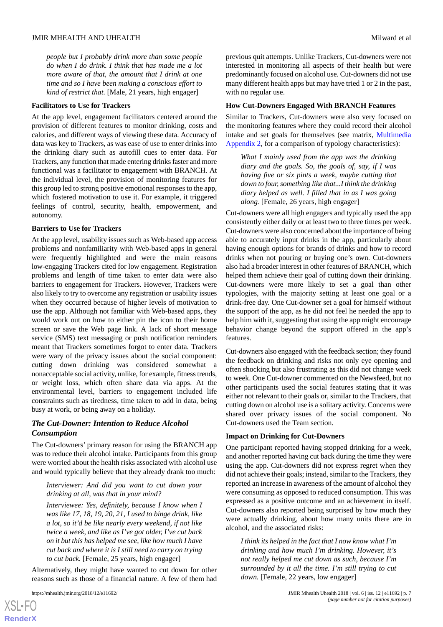#### JMIR MHEALTH AND UHEALTH Milward et al.

*people but I probably drink more than some people do when I do drink. I think that has made me a lot more aware of that, the amount that I drink at one time and so I have been making a conscious effort to kind of restrict that.* [Male, 21 years, high engager]

#### **Facilitators to Use for Trackers**

At the app level, engagement facilitators centered around the provision of different features to monitor drinking, costs and calories, and different ways of viewing these data. Accuracy of data was key to Trackers, as was ease of use to enter drinks into the drinking diary such as autofill cues to enter data. For Trackers, any function that made entering drinks faster and more functional was a facilitator to engagement with BRANCH. At the individual level, the provision of monitoring features for this group led to strong positive emotional responses to the app, which fostered motivation to use it. For example, it triggered feelings of control, security, health, empowerment, and autonomy.

#### **Barriers to Use for Trackers**

At the app level, usability issues such as Web-based app access problems and nonfamiliarity with Web-based apps in general were frequently highlighted and were the main reasons low-engaging Trackers cited for low engagement. Registration problems and length of time taken to enter data were also barriers to engagement for Trackers. However, Trackers were also likely to try to overcome any registration or usability issues when they occurred because of higher levels of motivation to use the app. Although not familiar with Web-based apps, they would work out on how to either pin the icon to their home screen or save the Web page link. A lack of short message service (SMS) text messaging or push notification reminders meant that Trackers sometimes forgot to enter data. Trackers were wary of the privacy issues about the social component: cutting down drinking was considered somewhat a nonacceptable social activity, unlike, for example, fitness trends, or weight loss, which often share data via apps. At the environmental level, barriers to engagement included life constraints such as tiredness, time taken to add in data, being busy at work, or being away on a holiday.

# *The Cut-Downer: Intention to Reduce Alcohol Consumption*

The Cut-downers' primary reason for using the BRANCH app was to reduce their alcohol intake. Participants from this group were worried about the health risks associated with alcohol use and would typically believe that they already drank too much:

#### *Interviewer: And did you want to cut down your drinking at all, was that in your mind?*

*Interviewee: Yes, definitely, because I know when I was like 17, 18, 19, 20, 21, I used to binge drink, like a lot, so it'd be like nearly every weekend, if not like twice a week, and like as I've got older, I've cut back on it but this has helped me see, like how much I have cut back and where it is I still need to carry on trying to cut back.* [Female, 25 years, high engager]

Alternatively, they might have wanted to cut down for other reasons such as those of a financial nature. A few of them had

[XSL](http://www.w3.org/Style/XSL)•FO **[RenderX](http://www.renderx.com/)**

previous quit attempts. Unlike Trackers, Cut-downers were not interested in monitoring all aspects of their health but were predominantly focused on alcohol use. Cut-downers did not use many different health apps but may have tried 1 or 2 in the past, with no regular use.

#### **How Cut-Downers Engaged With BRANCH Features**

Similar to Trackers, Cut-downers were also very focused on the monitoring features where they could record their alcohol intake and set goals for themselves (see matrix, [Multimedia](#page-11-16) [Appendix 2,](#page-11-16) for a comparison of typology characteristics):

*What I mainly used from the app was the drinking diary and the goals. So, the goals of, say, if I was having five or six pints a week, maybe cutting that down to four, something like that...I think the drinking diary helped as well. I filled that in as I was going along.* [Female, 26 years, high engager]

Cut-downers were all high engagers and typically used the app consistently either daily or at least two to three times per week. Cut-downers were also concerned about the importance of being able to accurately input drinks in the app, particularly about having enough options for brands of drinks and how to record drinks when not pouring or buying one's own. Cut-downers also had a broader interest in other features of BRANCH, which helped them achieve their goal of cutting down their drinking. Cut-downers were more likely to set a goal than other typologies, with the majority setting at least one goal or a drink-free day. One Cut-downer set a goal for himself without the support of the app, as he did not feel he needed the app to help him with it, suggesting that using the app might encourage behavior change beyond the support offered in the app's features.

Cut-downers also engaged with the feedback section; they found the feedback on drinking and risks not only eye opening and often shocking but also frustrating as this did not change week to week. One Cut-downer commented on the Newsfeed, but no other participants used the social features stating that it was either not relevant to their goals or, similar to the Trackers, that cutting down on alcohol use is a solitary activity. Concerns were shared over privacy issues of the social component. No Cut-downers used the Team section.

#### **Impact on Drinking for Cut-Downers**

One participant reported having stopped drinking for a week, and another reported having cut back during the time they were using the app. Cut-downers did not express regret when they did not achieve their goals; instead, similar to the Trackers, they reported an increase in awareness of the amount of alcohol they were consuming as opposed to reduced consumption. This was expressed as a positive outcome and an achievement in itself. Cut-downers also reported being surprised by how much they were actually drinking, about how many units there are in alcohol, and the associated risks:

*I think its helped in the fact that I now know what I'm drinking and how much I'm drinking. However, it's not really helped me cut down as such, because I'm surrounded by it all the time. I'm still trying to cut down.* [Female, 22 years, low engager]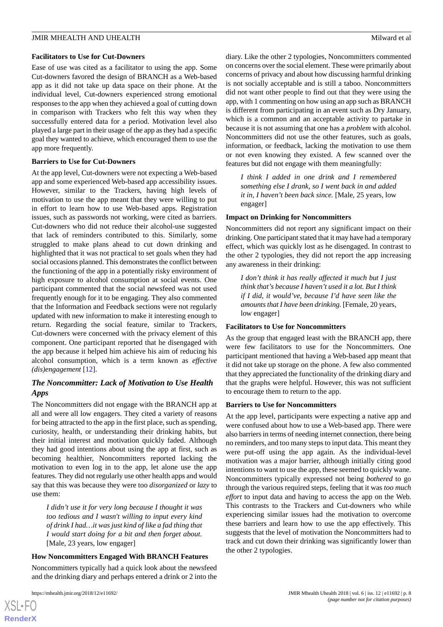#### JMIR MHEALTH AND UHEALTH Milward et al.

#### **Facilitators to Use for Cut-Downers**

Ease of use was cited as a facilitator to using the app. Some Cut-downers favored the design of BRANCH as a Web-based app as it did not take up data space on their phone. At the individual level, Cut-downers experienced strong emotional responses to the app when they achieved a goal of cutting down in comparison with Trackers who felt this way when they successfully entered data for a period. Motivation level also played a large part in their usage of the app as they had a specific goal they wanted to achieve, which encouraged them to use the app more frequently.

#### **Barriers to Use for Cut-Downers**

At the app level, Cut-downers were not expecting a Web-based app and some experienced Web-based app accessibility issues. However, similar to the Trackers, having high levels of motivation to use the app meant that they were willing to put in effort to learn how to use Web-based apps. Registration issues, such as passwords not working, were cited as barriers. Cut-downers who did not reduce their alcohol-use suggested that lack of reminders contributed to this. Similarly, some struggled to make plans ahead to cut down drinking and highlighted that it was not practical to set goals when they had social occasions planned. This demonstrates the conflict between the functioning of the app in a potentially risky environment of high exposure to alcohol consumption at social events. One participant commented that the social newsfeed was not used frequently enough for it to be engaging. They also commented that the Information and Feedback sections were not regularly updated with new information to make it interesting enough to return. Regarding the social feature, similar to Trackers, Cut-downers were concerned with the privacy element of this component. One participant reported that he disengaged with the app because it helped him achieve his aim of reducing his alcohol consumption, which is a term known as *effective (dis)engagement* [[12\]](#page-11-7).

# *The Noncommitter: Lack of Motivation to Use Health Apps*

The Noncommitters did not engage with the BRANCH app at all and were all low engagers. They cited a variety of reasons for being attracted to the app in the first place, such as spending, curiosity, health, or understanding their drinking habits, but their initial interest and motivation quickly faded. Although they had good intentions about using the app at first, such as becoming healthier, Noncommitters reported lacking the motivation to even log in to the app, let alone use the app features. They did not regularly use other health apps and would say that this was because they were too *disorganized* or *lazy* to use them:

*I didn't use it for very long because I thought it was too tedious and I wasn't willing to input every kind of drink I had…it was just kind of like a fad thing that I would start doing for a bit and then forget about.* [Male, 23 years, low engager]

#### **How Noncommitters Engaged With BRANCH Features**

Noncommitters typically had a quick look about the newsfeed and the drinking diary and perhaps entered a drink or 2 into the

 $XSI - F($ **[RenderX](http://www.renderx.com/)** diary. Like the other 2 typologies, Noncommitters commented on concerns over the social element. These were primarily about concerns of privacy and about how discussing harmful drinking is not socially acceptable and is still a taboo. Noncommitters did not want other people to find out that they were using the app, with 1 commenting on how using an app such as BRANCH is different from participating in an event such as Dry January, which is a common and an acceptable activity to partake in because it is not assuming that one has a *problem* with alcohol. Noncommitters did not use the other features, such as goals, information, or feedback, lacking the motivation to use them or not even knowing they existed. A few scanned over the features but did not engage with them meaningfully:

*I think I added in one drink and I remembered something else I drank, so I went back in and added it in, I haven't been back since.* [Male, 25 years, low engager]

#### **Impact on Drinking for Noncommitters**

Noncommitters did not report any significant impact on their drinking. One participant stated that it may have had a temporary effect, which was quickly lost as he disengaged. In contrast to the other 2 typologies, they did not report the app increasing any awareness in their drinking:

*I don't think it has really affected it much but I just think that's because I haven't used it a lot. But I think if I did, it would've, because I'd have seen like the amounts that I have been drinking.* [Female, 20 years, low engager]

#### **Facilitators to Use for Noncommitters**

As the group that engaged least with the BRANCH app, there were few facilitators to use for the Noncommitters. One participant mentioned that having a Web-based app meant that it did not take up storage on the phone. A few also commented that they appreciated the functionality of the drinking diary and that the graphs were helpful. However, this was not sufficient to encourage them to return to the app.

#### **Barriers to Use for Noncommitters**

At the app level, participants were expecting a native app and were confused about how to use a Web-based app. There were also barriers in terms of needing internet connection, there being no reminders, and too many steps to input data. This meant they were put-off using the app again. As the individual-level motivation was a major barrier, although initially citing good intentions to want to use the app, these seemed to quickly wane. Noncommitters typically expressed not being *bothered* to go through the various required steps, feeling that it was *too much effort* to input data and having to access the app on the Web. This contrasts to the Trackers and Cut-downers who while experiencing similar issues had the motivation to overcome these barriers and learn how to use the app effectively. This suggests that the level of motivation the Noncommitters had to track and cut down their drinking was significantly lower than the other 2 typologies.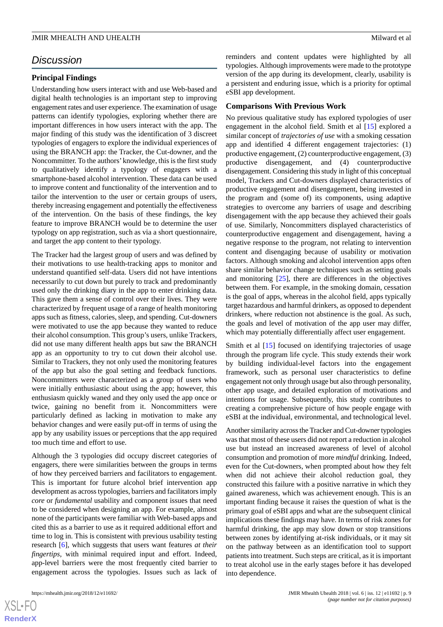# *Discussion*

### **Principal Findings**

Understanding how users interact with and use Web-based and digital health technologies is an important step to improving engagement rates and user experience. The examination of usage patterns can identify typologies, exploring whether there are important differences in how users interact with the app. The major finding of this study was the identification of 3 discreet typologies of engagers to explore the individual experiences of using the BRANCH app: the Tracker, the Cut-downer, and the Noncommitter. To the authors'knowledge, this is the first study to qualitatively identify a typology of engagers with a smartphone-based alcohol intervention. These data can be used to improve content and functionality of the intervention and to tailor the intervention to the user or certain groups of users, thereby increasing engagement and potentially the effectiveness of the intervention. On the basis of these findings, the key feature to improve BRANCH would be to determine the user typology on app registration, such as via a short questionnaire, and target the app content to their typology.

The Tracker had the largest group of users and was defined by their motivations to use health-tracking apps to monitor and understand quantified self-data. Users did not have intentions necessarily to cut down but purely to track and predominantly used only the drinking diary in the app to enter drinking data. This gave them a sense of control over their lives. They were characterized by frequent usage of a range of health monitoring apps such as fitness, calories, sleep, and spending. Cut-downers were motivated to use the app because they wanted to reduce their alcohol consumption. This group's users, unlike Trackers, did not use many different health apps but saw the BRANCH app as an opportunity to try to cut down their alcohol use. Similar to Trackers, they not only used the monitoring features of the app but also the goal setting and feedback functions. Noncommitters were characterized as a group of users who were initially enthusiastic about using the app; however, this enthusiasm quickly waned and they only used the app once or twice, gaining no benefit from it. Noncommitters were particularly defined as lacking in motivation to make any behavior changes and were easily put-off in terms of using the app by any usability issues or perceptions that the app required too much time and effort to use.

Although the 3 typologies did occupy discreet categories of engagers, there were similarities between the groups in terms of how they perceived barriers and facilitators to engagement. This is important for future alcohol brief intervention app development as across typologies, barriers and facilitators imply *core* or *fundamental* usability and component issues that need to be considered when designing an app. For example, almost none of the participants were familiar with Web-based apps and cited this as a barrier to use as it required additional effort and time to log in. This is consistent with previous usability testing research [\[6\]](#page-11-4), which suggests that users want features *at their fingertips*, with minimal required input and effort. Indeed, app-level barriers were the most frequently cited barrier to engagement across the typologies. Issues such as lack of reminders and content updates were highlighted by all typologies. Although improvements were made to the prototype version of the app during its development, clearly, usability is a persistent and enduring issue, which is a priority for optimal eSBI app development.

#### **Comparisons With Previous Work**

No previous qualitative study has explored typologies of user engagement in the alcohol field. Smith et al [[15\]](#page-11-10) explored a similar concept of *trajectories of use* with a smoking cessation app and identified 4 different engagement trajectories: (1) productive engagement, (2) counterproductive engagement, (3) productive disengagement, and (4) counterproductive disengagement. Considering this study in light of this conceptual model, Trackers and Cut-downers displayed characteristics of productive engagement and disengagement, being invested in the program and (some of) its components, using adaptive strategies to overcome any barriers of usage and describing disengagement with the app because they achieved their goals of use. Similarly, Noncommitters displayed characteristics of counterproductive engagement and disengagement, having a negative response to the program, not relating to intervention content and disengaging because of usability or motivation factors. Although smoking and alcohol intervention apps often share similar behavior change techniques such as setting goals and monitoring [\[25](#page-12-7)], there are differences in the objectives between them. For example, in the smoking domain, cessation is the goal of apps, whereas in the alcohol field, apps typically target hazardous and harmful drinkers, as opposed to dependent drinkers, where reduction not abstinence is the goal. As such, the goals and level of motivation of the app user may differ, which may potentially differentially affect user engagement.

Smith et al [\[15](#page-11-10)] focused on identifying trajectories of usage through the program life cycle. This study extends their work by building individual-level factors into the engagement framework, such as personal user characteristics to define engagement not only through usage but also through personality, other app usage, and detailed exploration of motivations and intentions for usage. Subsequently, this study contributes to creating a comprehensive picture of how people engage with eSBI at the individual, environmental, and technological level.

Another similarity across the Tracker and Cut-downer typologies was that most of these users did not report a reduction in alcohol use but instead an increased awareness of level of alcohol consumption and promotion of more *mindful* drinking. Indeed, even for the Cut-downers, when prompted about how they felt when did not achieve their alcohol reduction goal, they constructed this failure with a positive narrative in which they gained awareness, which was achievement enough. This is an important finding because it raises the question of what is the primary goal of eSBI apps and what are the subsequent clinical implications these findings may have. In terms of risk zones for harmful drinking, the app may slow down or stop transitions between zones by identifying at-risk individuals, or it may sit on the pathway between as an identification tool to support patients into treatment. Such steps are critical, as it is important to treat alcohol use in the early stages before it has developed into dependence.

```
XS\cdotFC
RenderX
```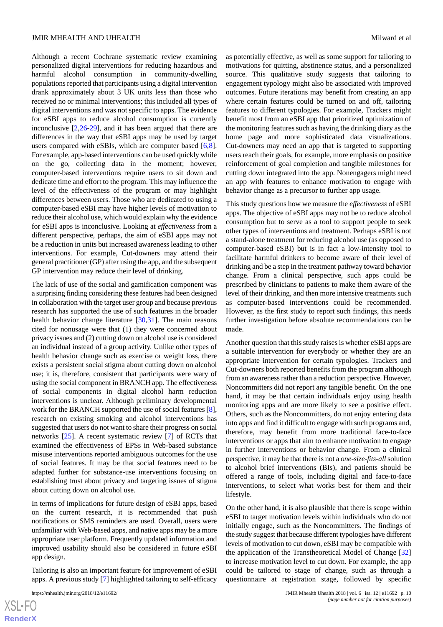Although a recent Cochrane systematic review examining personalized digital interventions for reducing hazardous and harmful alcohol consumption in community-dwelling populations reported that participants using a digital intervention drank approximately about 3 UK units less than those who received no or minimal interventions; this included all types of digital interventions and was not specific to apps. The evidence for eSBI apps to reduce alcohol consumption is currently inconclusive [[2,](#page-11-1)[26](#page-12-8)[-29](#page-12-9)], and it has been argued that there are differences in the way that eSBI apps may be used by target users compared with eSBIs, which are computer based [\[6](#page-11-4),[8\]](#page-11-5). For example, app-based interventions can be used quickly while on the go, collecting data in the moment; however, computer-based interventions require users to sit down and dedicate time and effort to the program. This may influence the level of the effectiveness of the program or may highlight differences between users. Those who are dedicated to using a computer-based eSBI may have higher levels of motivation to reduce their alcohol use, which would explain why the evidence for eSBI apps is inconclusive. Looking at *effectiveness* from a different perspective, perhaps, the aim of eSBI apps may not be a reduction in units but increased awareness leading to other interventions. For example, Cut-downers may attend their general practitioner (GP) after using the app, and the subsequent GP intervention may reduce their level of drinking.

The lack of use of the social and gamification component was a surprising finding considering these features had been designed in collaboration with the target user group and because previous research has supported the use of such features in the broader health behavior change literature [[30,](#page-12-10)[31](#page-12-11)]. The main reasons cited for nonusage were that (1) they were concerned about privacy issues and (2) cutting down on alcohol use is considered an individual instead of a group activity. Unlike other types of health behavior change such as exercise or weight loss, there exists a persistent social stigma about cutting down on alcohol use; it is, therefore, consistent that participants were wary of using the social component in BRANCH app. The effectiveness of social components in digital alcohol harm reduction interventions is unclear. Although preliminary developmental work for the BRANCH supported the use of social features [[8\]](#page-11-5), research on existing smoking and alcohol interventions has suggested that users do not want to share their progress on social networks [\[25](#page-12-7)]. A recent systematic review [\[7](#page-11-15)] of RCTs that examined the effectiveness of EPSs in Web-based substance misuse interventions reported ambiguous outcomes for the use of social features. It may be that social features need to be adapted further for substance-use interventions focusing on establishing trust about privacy and targeting issues of stigma about cutting down on alcohol use.

In terms of implications for future design of eSBI apps, based on the current research, it is recommended that push notifications or SMS reminders are used. Overall, users were unfamiliar with Web-based apps, and native apps may be a more appropriate user platform. Frequently updated information and improved usability should also be considered in future eSBI app design.

Tailoring is also an important feature for improvement of eSBI apps. A previous study [\[7](#page-11-15)] highlighted tailoring to self-efficacy

as potentially effective, as well as some support for tailoring to motivations for quitting, abstinence status, and a personalized source. This qualitative study suggests that tailoring to engagement typology might also be associated with improved outcomes. Future iterations may benefit from creating an app where certain features could be turned on and off, tailoring features to different typologies. For example, Trackers might benefit most from an eSBI app that prioritized optimization of the monitoring features such as having the drinking diary as the home page and more sophisticated data visualizations. Cut-downers may need an app that is targeted to supporting users reach their goals, for example, more emphasis on positive reinforcement of goal completion and tangible milestones for cutting down integrated into the app. Nonengagers might need an app with features to enhance motivation to engage with behavior change as a precursor to further app usage.

This study questions how we measure the *effectiveness* of eSBI apps. The objective of eSBI apps may not be to reduce alcohol consumption but to serve as a tool to support people to seek other types of interventions and treatment. Perhaps eSBI is not a stand-alone treatment for reducing alcohol use (as opposed to computer-based eSBI) but is in fact a low-intensity tool to facilitate harmful drinkers to become aware of their level of drinking and be a step in the treatment pathway toward behavior change. From a clinical perspective, such apps could be prescribed by clinicians to patients to make them aware of the level of their drinking, and then more intensive treatments such as computer-based interventions could be recommended. However, as the first study to report such findings, this needs further investigation before absolute recommendations can be made.

Another question that this study raises is whether eSBI apps are a suitable intervention for everybody or whether they are an appropriate intervention for certain typologies. Trackers and Cut-downers both reported benefits from the program although from an awareness rather than a reduction perspective. However, Noncommitters did not report any tangible benefit. On the one hand, it may be that certain individuals enjoy using health monitoring apps and are more likely to see a positive effect. Others, such as the Noncommitters, do not enjoy entering data into apps and find it difficult to engage with such programs and, therefore, may benefit from more traditional face-to-face interventions or apps that aim to enhance motivation to engage in further interventions or behavior change. From a clinical perspective, it may be that there is not a *one-size-fits-all*solution to alcohol brief interventions (BIs), and patients should be offered a range of tools, including digital and face-to-face interventions, to select what works best for them and their lifestyle.

On the other hand, it is also plausible that there is scope within eSBI to target motivation levels within individuals who do not initially engage, such as the Noncommitters. The findings of the study suggest that because different typologies have different levels of motivation to cut down, eSBI may be compatible with the application of the Transtheoretical Model of Change [\[32](#page-12-12)] to increase motivation level to cut down. For example, the app could be tailored to stage of change, such as through a questionnaire at registration stage, followed by specific

[XSL](http://www.w3.org/Style/XSL)•FO **[RenderX](http://www.renderx.com/)**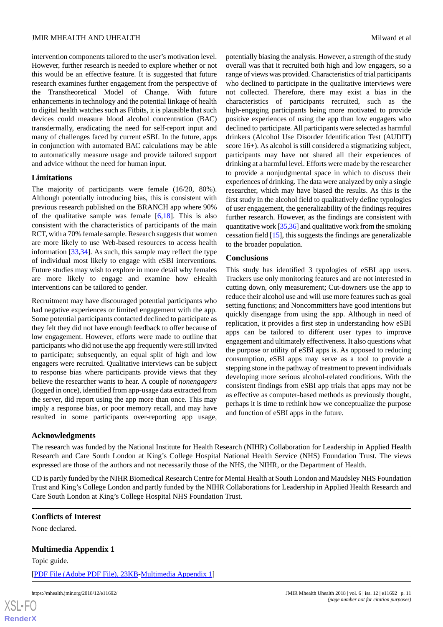intervention components tailored to the user's motivation level. However, further research is needed to explore whether or not this would be an effective feature. It is suggested that future research examines further engagement from the perspective of the Transtheoretical Model of Change. With future enhancements in technology and the potential linkage of health to digital health watches such as Fitbits, it is plausible that such devices could measure blood alcohol concentration (BAC) transdermally, eradicating the need for self-report input and many of challenges faced by current eSBI. In the future, apps in conjunction with automated BAC calculations may be able to automatically measure usage and provide tailored support and advice without the need for human input.

# **Limitations**

The majority of participants were female (16/20, 80%). Although potentially introducing bias, this is consistent with previous research published on the BRANCH app where 90% of the qualitative sample was female [[6,](#page-11-4)[18](#page-12-0)]. This is also consistent with the characteristics of participants of the main RCT, with a 70% female sample. Research suggests that women are more likely to use Web-based resources to access health information [[33,](#page-12-13)[34](#page-12-14)]. As such, this sample may reflect the type of individual most likely to engage with eSBI interventions. Future studies may wish to explore in more detail why females are more likely to engage and examine how eHealth interventions can be tailored to gender.

Recruitment may have discouraged potential participants who had negative experiences or limited engagement with the app. Some potential participants contacted declined to participate as they felt they did not have enough feedback to offer because of low engagement. However, efforts were made to outline that participants who did not use the app frequently were still invited to participate; subsequently, an equal split of high and low engagers were recruited. Qualitative interviews can be subject to response bias where participants provide views that they believe the researcher wants to hear. A couple of *nonengagers* (logged in once), identified from app-usage data extracted from the server, did report using the app more than once. This may imply a response bias, or poor memory recall, and may have resulted in some participants over-reporting app usage,

potentially biasing the analysis. However, a strength of the study overall was that it recruited both high and low engagers, so a range of views was provided. Characteristics of trial participants who declined to participate in the qualitative interviews were not collected. Therefore, there may exist a bias in the characteristics of participants recruited, such as the high-engaging participants being more motivated to provide positive experiences of using the app than low engagers who declined to participate. All participants were selected as harmful drinkers (Alcohol Use Disorder Identification Test (AUDIT) score 16+). As alcohol is still considered a stigmatizing subject, participants may have not shared all their experiences of drinking at a harmful level. Efforts were made by the researcher to provide a nonjudgmental space in which to discuss their experiences of drinking. The data were analyzed by only a single researcher, which may have biased the results. As this is the first study in the alcohol field to qualitatively define typologies of user engagement, the generalizability of the findings requires further research. However, as the findings are consistent with quantitative work [\[35](#page-12-15),[36](#page-12-16)] and qualitative work from the smoking cessation field [[15\]](#page-11-10), this suggests the findings are generalizable to the broader population.

#### **Conclusions**

This study has identified 3 typologies of eSBI app users. Trackers use only monitoring features and are not interested in cutting down, only measurement; Cut-downers use the app to reduce their alcohol use and will use more features such as goal setting functions; and Noncommitters have good intentions but quickly disengage from using the app. Although in need of replication, it provides a first step in understanding how eSBI apps can be tailored to different user types to improve engagement and ultimately effectiveness. It also questions what the purpose or utility of eSBI apps is. As opposed to reducing consumption, eSBI apps may serve as a tool to provide a stepping stone in the pathway of treatment to prevent individuals developing more serious alcohol-related conditions. With the consistent findings from eSBI app trials that apps may not be as effective as computer-based methods as previously thought, perhaps it is time to rethink how we conceptualize the purpose and function of eSBI apps in the future.

#### **Acknowledgments**

The research was funded by the National Institute for Health Research (NIHR) Collaboration for Leadership in Applied Health Research and Care South London at King's College Hospital National Health Service (NHS) Foundation Trust. The views expressed are those of the authors and not necessarily those of the NHS, the NIHR, or the Department of Health.

<span id="page-10-0"></span>CD is partly funded by the NIHR Biomedical Research Centre for Mental Health at South London and Maudsley NHS Foundation Trust and King's College London and partly funded by the NIHR Collaborations for Leadership in Applied Health Research and Care South London at King's College Hospital NHS Foundation Trust.

# **Conflicts of Interest**

None declared.

# **Multimedia Appendix 1**

Topic guide.

[XSL](http://www.w3.org/Style/XSL)•FO **[RenderX](http://www.renderx.com/)**

[[PDF File \(Adobe PDF File\), 23KB-Multimedia Appendix 1](https://jmir.org/api/download?alt_name=mhealth_v6i12e11692_app1.pdf)]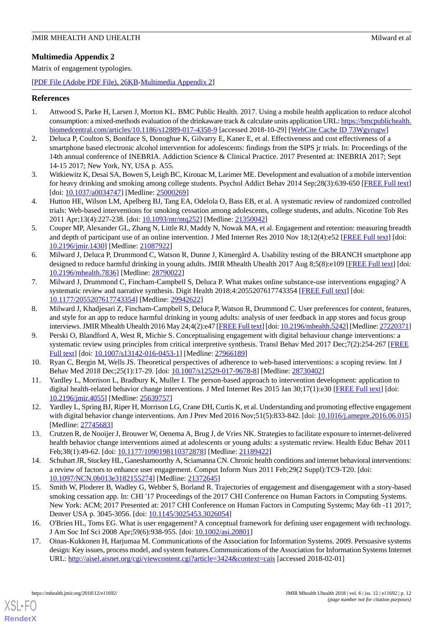# <span id="page-11-16"></span>**Multimedia Appendix 2**

Matrix of engagement typologies.

[[PDF File \(Adobe PDF File\), 26KB-Multimedia Appendix 2](https://jmir.org/api/download?alt_name=mhealth_v6i12e11692_app2.pdf)]

# <span id="page-11-0"></span>**References**

- <span id="page-11-1"></span>1. Attwood S, Parke H, Larsen J, Morton KL. BMC Public Health. 2017. Using a mobile health application to reduce alcohol consumption: a mixed-methods evaluation of the drinkaware track & calculate units application URL: [https://bmcpublichealth.](https://bmcpublichealth.biomedcentral.com/articles/10.1186/s12889-017-4358-9) [biomedcentral.com/articles/10.1186/s12889-017-4358-9](https://bmcpublichealth.biomedcentral.com/articles/10.1186/s12889-017-4358-9) [accessed 2018-10-29] [\[WebCite Cache ID 73Wgyrugw\]](http://www.webcitation.org/

                                            73Wgyrugw)
- 2. Deluca P, Coulton S, Boniface S, Donoghue K, Gilvarry E, Kaner E, et al. Effectiveness and cost effectiveness of a smartphone based electronic alcohol intervention for adolescents: findings from the SIPS jr trials. In: Proceedings of the 14th annual conference of INEBRIA. Addiction Science & Clinical Practice. 2017 Presented at: INEBRIA 2017; Sept 14-15 2017; New York, NY, USA p. A55.
- <span id="page-11-2"></span>3. Witkiewitz K, Desai SA, Bowen S, Leigh BC, Kirouac M, Larimer ME. Development and evaluation of a mobile intervention for heavy drinking and smoking among college students. Psychol Addict Behav 2014 Sep;28(3):639-650 [\[FREE Full text](http://europepmc.org/abstract/MED/25000269)] [doi: [10.1037/a0034747\]](http://dx.doi.org/10.1037/a0034747) [Medline: [25000269](http://www.ncbi.nlm.nih.gov/entrez/query.fcgi?cmd=Retrieve&db=PubMed&list_uids=25000269&dopt=Abstract)]
- <span id="page-11-3"></span>4. Hutton HE, Wilson LM, Apelberg BJ, Tang EA, Odelola O, Bass EB, et al. A systematic review of randomized controlled trials: Web-based interventions for smoking cessation among adolescents, college students, and adults. Nicotine Tob Res 2011 Apr;13(4):227-238. [doi: [10.1093/ntr/ntq252](http://dx.doi.org/10.1093/ntr/ntq252)] [Medline: [21350042](http://www.ncbi.nlm.nih.gov/entrez/query.fcgi?cmd=Retrieve&db=PubMed&list_uids=21350042&dopt=Abstract)]
- <span id="page-11-4"></span>5. Couper MP, Alexander GL, Zhang N, Little RJ, Maddy N, Nowak MA, et al. Engagement and retention: measuring breadth and depth of participant use of an online intervention. J Med Internet Res 2010 Nov 18;12(4):e52 [\[FREE Full text\]](http://www.jmir.org/2010/4/e52/) [doi: [10.2196/jmir.1430](http://dx.doi.org/10.2196/jmir.1430)] [Medline: [21087922](http://www.ncbi.nlm.nih.gov/entrez/query.fcgi?cmd=Retrieve&db=PubMed&list_uids=21087922&dopt=Abstract)]
- <span id="page-11-15"></span>6. Milward J, Deluca P, Drummond C, Watson R, Dunne J, Kimergård A. Usability testing of the BRANCH smartphone app designed to reduce harmful drinking in young adults. JMIR Mhealth Uhealth 2017 Aug 8;5(8):e109 [\[FREE Full text](http://mhealth.jmir.org/2017/8/e109/)] [doi: [10.2196/mhealth.7836](http://dx.doi.org/10.2196/mhealth.7836)] [Medline: [28790022](http://www.ncbi.nlm.nih.gov/entrez/query.fcgi?cmd=Retrieve&db=PubMed&list_uids=28790022&dopt=Abstract)]
- <span id="page-11-5"></span>7. Milward J, Drummond C, Fincham-Campbell S, Deluca P. What makes online substance-use interventions engaging? A systematic review and narrative synthesis. Digit Health 2018;4:2055207617743354 [\[FREE Full text\]](http://europepmc.org/abstract/MED/29942622) [doi: [10.1177/2055207617743354\]](http://dx.doi.org/10.1177/2055207617743354) [Medline: [29942622\]](http://www.ncbi.nlm.nih.gov/entrez/query.fcgi?cmd=Retrieve&db=PubMed&list_uids=29942622&dopt=Abstract)
- <span id="page-11-6"></span>8. Milward J, Khadjesari Z, Fincham-Campbell S, Deluca P, Watson R, Drummond C. User preferences for content, features, and style for an app to reduce harmful drinking in young adults: analysis of user feedback in app stores and focus group interviews. JMIR Mhealth Uhealth 2016 May 24;4(2):e47 [\[FREE Full text\]](http://mhealth.jmir.org/2016/2/e47/) [doi: [10.2196/mhealth.5242\]](http://dx.doi.org/10.2196/mhealth.5242) [Medline: [27220371\]](http://www.ncbi.nlm.nih.gov/entrez/query.fcgi?cmd=Retrieve&db=PubMed&list_uids=27220371&dopt=Abstract)
- <span id="page-11-14"></span><span id="page-11-11"></span>9. Perski O, Blandford A, West R, Michie S. Conceptualising engagement with digital behaviour change interventions: a systematic review using principles from critical interpretive synthesis. Transl Behav Med 2017 Dec;7(2):254-267 [[FREE](http://europepmc.org/abstract/MED/27966189) [Full text\]](http://europepmc.org/abstract/MED/27966189) [doi: [10.1007/s13142-016-0453-1](http://dx.doi.org/10.1007/s13142-016-0453-1)] [Medline: [27966189](http://www.ncbi.nlm.nih.gov/entrez/query.fcgi?cmd=Retrieve&db=PubMed&list_uids=27966189&dopt=Abstract)]
- <span id="page-11-7"></span>10. Ryan C, Bergin M, Wells JS. Theoretical perspectives of adherence to web-based interventions: a scoping review. Int J Behav Med 2018 Dec;25(1):17-29. [doi: [10.1007/s12529-017-9678-8\]](http://dx.doi.org/10.1007/s12529-017-9678-8) [Medline: [28730402\]](http://www.ncbi.nlm.nih.gov/entrez/query.fcgi?cmd=Retrieve&db=PubMed&list_uids=28730402&dopt=Abstract)
- <span id="page-11-8"></span>11. Yardley L, Morrison L, Bradbury K, Muller I. The person-based approach to intervention development: application to digital health-related behavior change interventions. J Med Internet Res 2015 Jan 30;17(1):e30 [\[FREE Full text\]](http://www.jmir.org/2015/1/e30/) [doi: [10.2196/jmir.4055](http://dx.doi.org/10.2196/jmir.4055)] [Medline: [25639757](http://www.ncbi.nlm.nih.gov/entrez/query.fcgi?cmd=Retrieve&db=PubMed&list_uids=25639757&dopt=Abstract)]
- <span id="page-11-9"></span>12. Yardley L, Spring BJ, Riper H, Morrison LG, Crane DH, Curtis K, et al. Understanding and promoting effective engagement with digital behavior change interventions. Am J Prev Med 2016 Nov; 51(5):833-842. [doi: [10.1016/j.amepre.2016.06.015](http://dx.doi.org/10.1016/j.amepre.2016.06.015)] [Medline: [27745683](http://www.ncbi.nlm.nih.gov/entrez/query.fcgi?cmd=Retrieve&db=PubMed&list_uids=27745683&dopt=Abstract)]
- <span id="page-11-10"></span>13. Crutzen R, de Nooijer J, Brouwer W, Oenema A, Brug J, de Vries NK. Strategies to facilitate exposure to internet-delivered health behavior change interventions aimed at adolescents or young adults: a systematic review. Health Educ Behav 2011 Feb;38(1):49-62. [doi: [10.1177/1090198110372878\]](http://dx.doi.org/10.1177/1090198110372878) [Medline: [21189422\]](http://www.ncbi.nlm.nih.gov/entrez/query.fcgi?cmd=Retrieve&db=PubMed&list_uids=21189422&dopt=Abstract)
- <span id="page-11-12"></span>14. Schubart JR, Stuckey HL, Ganeshamoorthy A, Sciamanna CN. Chronic health conditions and internet behavioral interventions: a review of factors to enhance user engagement. Comput Inform Nurs 2011 Feb;29(2 Suppl):TC9-T20. [doi: [10.1097/NCN.0b013e3182155274\]](http://dx.doi.org/10.1097/NCN.0b013e3182155274) [Medline: [21372645\]](http://www.ncbi.nlm.nih.gov/entrez/query.fcgi?cmd=Retrieve&db=PubMed&list_uids=21372645&dopt=Abstract)
- <span id="page-11-13"></span>15. Smith W, Ploderer B, Wadley G, Webber S, Borland R. Trajectories of engagement and disengagement with a story-based smoking cessation app. In: CHI '17 Proceedings of the 2017 CHI Conference on Human Factors in Computing Systems. New York: ACM; 2017 Presented at: 2017 CHI Conference on Human Factors in Computing Systems; May 6th -11 2017; Denver USA p. 3045-3056. [doi: [10.1145/3025453.3026054\]](http://dx.doi.org/10.1145/3025453.3026054)
- 16. O'Brien HL, Toms EG. What is user engagement? A conceptual framework for defining user engagement with technology. J Am Soc Inf Sci 2008 Apr;59(6):938-955. [doi: [10.1002/asi.20801](http://dx.doi.org/10.1002/asi.20801)]
- 17. Oinas-Kukkonen H, Harjumaa M. Communications of the Association for Information Systems. 2009. Persuasive systems design: Key issues, process model, and system features.Communications of the Association for Information Systems Internet URL: <http://aisel.aisnet.org/cgi/viewcontent.cgi?article=3424&context=cais> [accessed 2018-02-01]

[XSL](http://www.w3.org/Style/XSL)•FO **[RenderX](http://www.renderx.com/)**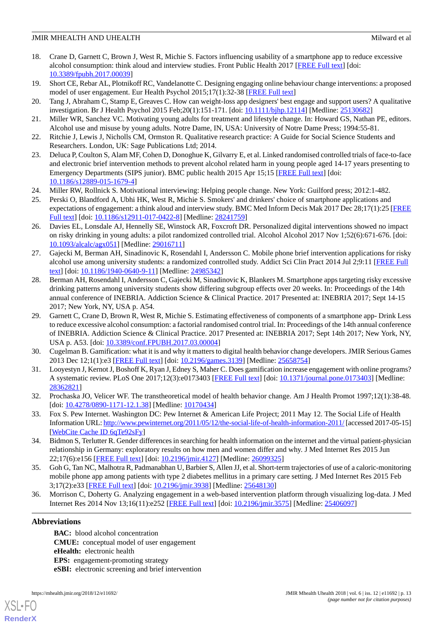# JMIR MHEALTH AND UHEALTH Milward et al.

- <span id="page-12-0"></span>18. Crane D, Garnett C, Brown J, West R, Michie S. Factors influencing usability of a smartphone app to reduce excessive alcohol consumption: think aloud and interview studies. Front Public Health 2017 [\[FREE Full text\]](http://journal.frontiersin.org/article/10.3389/fpubh.2017.00039) [doi: [10.3389/fpubh.2017.00039](http://dx.doi.org/10.3389/fpubh.2017.00039)]
- <span id="page-12-2"></span><span id="page-12-1"></span>19. Short CE, Rebar AL, Plotnikoff RC, Vandelanotte C. Designing engaging online behaviour change interventions: a proposed model of user engagement. Eur Health Psychol 2015;17(1):32-38 [[FREE Full text](http://www.ehps.net/ehp/index.php/contents/article/viewFile/763/pdf_39)]
- <span id="page-12-3"></span>20. Tang J, Abraham C, Stamp E, Greaves C. How can weight-loss app designers' best engage and support users? A qualitative investigation. Br J Health Psychol 2015 Feb; 20(1): 151-171. [doi: [10.1111/bjhp.12114\]](http://dx.doi.org/10.1111/bjhp.12114) [Medline: [25130682\]](http://www.ncbi.nlm.nih.gov/entrez/query.fcgi?cmd=Retrieve&db=PubMed&list_uids=25130682&dopt=Abstract)
- <span id="page-12-4"></span>21. Miller WR, Sanchez VC. Motivating young adults for treatment and lifestyle change. In: Howard GS, Nathan PE, editors. Alcohol use and misuse by young adults. Notre Dame, IN, USA: University of Notre Dame Press; 1994:55-81.
- <span id="page-12-5"></span>22. Ritchie J, Lewis J, Nicholls CM, Ormston R. Qualitative research practice: A Guide for Social Science Students and Researchers. London, UK: Sage Publications Ltd; 2014.
- <span id="page-12-6"></span>23. Deluca P, Coulton S, Alam MF, Cohen D, Donoghue K, Gilvarry E, et al. Linked randomised controlled trials of face-to-face and electronic brief intervention methods to prevent alcohol related harm in young people aged 14-17 years presenting to Emergency Departments (SIPS junior). BMC public health 2015 Apr 15;15 [\[FREE Full text\]](https://doi.org/10.1186/s12889-015-1679-4) [doi: [10.1186/s12889-015-1679-4\]](http://dx.doi.org/10.1186/s12889-015-1679-4)
- <span id="page-12-7"></span>24. Miller RW, Rollnick S. Motivational interviewing: Helping people change. New York: Guilford press; 2012:1-482.
- <span id="page-12-8"></span>25. Perski O, Blandford A, Ubhi HK, West R, Michie S. Smokers' and drinkers' choice of smartphone applications and expectations of engagement: a think aloud and interview study. BMC Med Inform Decis Mak 2017 Dec 28;17(1):25 [\[FREE](https://bmcmedinformdecismak.biomedcentral.com/articles/10.1186/s12911-017-0422-8) [Full text\]](https://bmcmedinformdecismak.biomedcentral.com/articles/10.1186/s12911-017-0422-8) [doi: [10.1186/s12911-017-0422-8](http://dx.doi.org/10.1186/s12911-017-0422-8)] [Medline: [28241759](http://www.ncbi.nlm.nih.gov/entrez/query.fcgi?cmd=Retrieve&db=PubMed&list_uids=28241759&dopt=Abstract)]
- 26. Davies EL, Lonsdale AJ, Hennelly SE, Winstock AR, Foxcroft DR. Personalized digital interventions showed no impact on risky drinking in young adults: a pilot randomized controlled trial. Alcohol Alcohol 2017 Nov 1;52(6):671-676. [doi: [10.1093/alcalc/agx051](http://dx.doi.org/10.1093/alcalc/agx051)] [Medline: [29016711](http://www.ncbi.nlm.nih.gov/entrez/query.fcgi?cmd=Retrieve&db=PubMed&list_uids=29016711&dopt=Abstract)]
- 27. Gajecki M, Berman AH, Sinadinovic K, Rosendahl I, Andersson C. Mobile phone brief intervention applications for risky alcohol use among university students: a randomized controlled study. Addict Sci Clin Pract 2014 Jul 2;9:11 [[FREE Full](https://ascpjournal.biomedcentral.com/articles/10.1186/1940-0640-9-11) [text](https://ascpjournal.biomedcentral.com/articles/10.1186/1940-0640-9-11)] [doi: [10.1186/1940-0640-9-11\]](http://dx.doi.org/10.1186/1940-0640-9-11) [Medline: [24985342\]](http://www.ncbi.nlm.nih.gov/entrez/query.fcgi?cmd=Retrieve&db=PubMed&list_uids=24985342&dopt=Abstract)
- <span id="page-12-9"></span>28. Berman AH, Rosendahl I, Andersson C, Gajecki M, Sinadinovic K, Blankers M. Smartphone apps targeting risky excessive drinking patterns among university students show differing subgroup effects over 20 weeks. In: Proceedings of the 14th annual conference of INEBRIA. Addiction Science & Clinical Practice. 2017 Presented at: INEBRIA 2017; Sept 14-15 2017; New York, NY, USA p. A54.
- <span id="page-12-11"></span><span id="page-12-10"></span>29. Garnett C, Crane D, Brown R, West R, Michie S. Estimating effectiveness of components of a smartphone app- Drink Less to reduce excessive alcohol consumption: a factorial randomised control trial. In: Proceedings of the 14th annual conference of INEBRIA. Addiction Science & Clinical Practice. 2017 Presented at: INEBRIA 2017; Sept 14th 2017; New York, NY, USA p. A53. [doi: [10.3389/conf.FPUBH.2017.03.00004\]](http://dx.doi.org/10.3389/conf.FPUBH.2017.03.00004)
- <span id="page-12-12"></span>30. Cugelman B. Gamification: what it is and why it matters to digital health behavior change developers. JMIR Serious Games 2013 Dec 12;1(1):e3 [\[FREE Full text\]](http://games.jmir.org/2013/1/e3/) [doi: [10.2196/games.3139](http://dx.doi.org/10.2196/games.3139)] [Medline: [25658754\]](http://www.ncbi.nlm.nih.gov/entrez/query.fcgi?cmd=Retrieve&db=PubMed&list_uids=25658754&dopt=Abstract)
- <span id="page-12-13"></span>31. Looyestyn J, Kernot J, Boshoff K, Ryan J, Edney S, Maher C. Does gamification increase engagement with online programs? A systematic review. PLoS One 2017;12(3):e0173403 [\[FREE Full text\]](http://dx.plos.org/10.1371/journal.pone.0173403) [doi: [10.1371/journal.pone.0173403](http://dx.doi.org/10.1371/journal.pone.0173403)] [Medline: [28362821](http://www.ncbi.nlm.nih.gov/entrez/query.fcgi?cmd=Retrieve&db=PubMed&list_uids=28362821&dopt=Abstract)]
- <span id="page-12-14"></span>32. Prochaska JO, Velicer WF. The transtheoretical model of health behavior change. Am J Health Promot 1997;12(1):38-48. [doi: [10.4278/0890-1171-12.1.38\]](http://dx.doi.org/10.4278/0890-1171-12.1.38) [Medline: [10170434\]](http://www.ncbi.nlm.nih.gov/entrez/query.fcgi?cmd=Retrieve&db=PubMed&list_uids=10170434&dopt=Abstract)
- <span id="page-12-15"></span>33. Fox S. Pew Internet. Washington DC: Pew Internet & American Life Project; 2011 May 12. The Social Life of Health Information URL:<http://www.pewinternet.org/2011/05/12/the-social-life-of-health-information-2011/> [accessed 2017-05-15] [[WebCite Cache ID 6qTe92sFy\]](http://www.webcitation.org/

                                            6qTe92sFy)
- <span id="page-12-16"></span>34. Bidmon S, Terlutter R. Gender differences in searching for health information on the internet and the virtual patient-physician relationship in Germany: exploratory results on how men and women differ and why. J Med Internet Res 2015 Jun 22;17(6):e156 [\[FREE Full text](http://www.jmir.org/2015/6/e156/)] [doi: [10.2196/jmir.4127](http://dx.doi.org/10.2196/jmir.4127)] [Medline: [26099325](http://www.ncbi.nlm.nih.gov/entrez/query.fcgi?cmd=Retrieve&db=PubMed&list_uids=26099325&dopt=Abstract)]
- 35. Goh G, Tan NC, Malhotra R, Padmanabhan U, Barbier S, Allen JJ, et al. Short-term trajectories of use of a caloric-monitoring mobile phone app among patients with type 2 diabetes mellitus in a primary care setting. J Med Internet Res 2015 Feb 3;17(2):e33 [\[FREE Full text](http://www.jmir.org/2015/2/e33/)] [doi: [10.2196/jmir.3938](http://dx.doi.org/10.2196/jmir.3938)] [Medline: [25648130](http://www.ncbi.nlm.nih.gov/entrez/query.fcgi?cmd=Retrieve&db=PubMed&list_uids=25648130&dopt=Abstract)]
- 36. Morrison C, Doherty G. Analyzing engagement in a web-based intervention platform through visualizing log-data. J Med Internet Res 2014 Nov 13;16(11):e252 [\[FREE Full text\]](http://www.jmir.org/2014/11/e252/) [doi: [10.2196/jmir.3575\]](http://dx.doi.org/10.2196/jmir.3575) [Medline: [25406097](http://www.ncbi.nlm.nih.gov/entrez/query.fcgi?cmd=Retrieve&db=PubMed&list_uids=25406097&dopt=Abstract)]

# **Abbreviations**

[XSL](http://www.w3.org/Style/XSL)•FO **[RenderX](http://www.renderx.com/)**

**BAC:** blood alcohol concentration **CMUE:** conceptual model of user engagement **eHealth:** electronic health **EPS:** engagement-promoting strategy **eSBI:** electronic screening and brief intervention